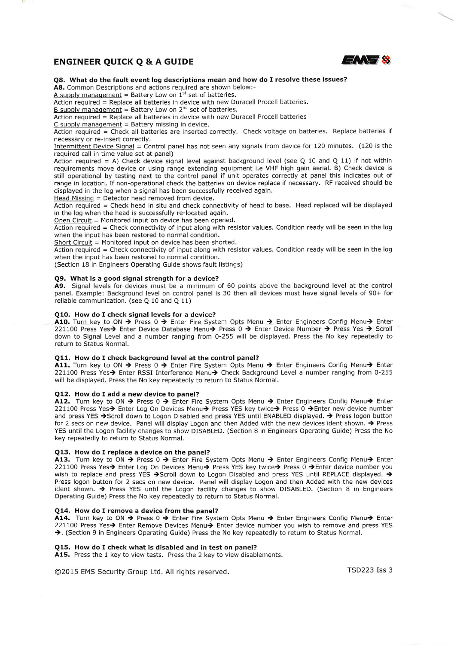# ENGINEER QUICK Q & A GUIDE  $\mathbb{Z} \setminus \mathbb{Z}$



Q8. What do the fault event log descriptions mean and how do I resolve these issues?

AS. Common Descriptions and actions required are shown beiow:-

A supply management = Battery Low on  $1<sup>st</sup>$  set of batteries.

Action required = Replace all batteries in device with new Duracell Procell batteries.

 $B$  supply management = Battery Low on  $2<sup>nd</sup>$  set of batteries.

Action required = Replace all batteries in device with new Duracell Procell batteries

 $C$  supply management = Battery missing in device.

Action required = Check all batteries are inserted correctly. Check voltage on batteries. Replace batteries if necessary or re-insert correctly.

Intermittent Device Signal = Control panel has not seen any signals from device for 120 minutes. (120 is the required call in time value set at panel)

Action required = A) Check device signal level against background level (see Q 10 and Q 11) if not within requirements move device or using range extending equipment i.e VHP high gain aerial. B) Check device is still operational by testing next to the control panel if unit operates correctly at panel this indicates out of range in location. If non-operational check the batteries on device replace if necessary. RF received should be displayed in the log when a signal has been successfully received again.

 $Head Missing = Detection head removed from device.$ 

Action required = Check head in situ and check connectivity of head to base. Head replaced will be displayed in the log when the head is successfully re-located again.

Open Circuit = Monitored input on device has been opened.

Action required = Check connectivity of input along with resistor values. Condition ready will be seen in the log when the input has been restored to normal condition.

Short Circuit = Monitored input on device has been shorted.

Action required = Check connectivity of input along with resistor values. Condition ready will be seen in the log when the input has been restored to normal condition.

(Section 18 in Engineers Operating Guide shows fault listings)

### Q9. What is a good signal strength for a device?

A9. Signal levels for devices must be a minimum of 60 points above the background level at the control panel. Example: Background level on control panel is 30 then all devices must have signal levels of 90+ for reliable communication, (see Q 10 and Q 11)

### QIO. How do I check signal levels for a device?

A10. Turn key to ON → Press 0 → Enter Fire System Opts Menu → Enter Engineers Config Menu→ Enter 221100 Press Yes $\rightarrow$  Enter Device Database Menu $\rightarrow$  Press 0  $\rightarrow$  Enter Device Number  $\rightarrow$  Press Yes  $\rightarrow$  Scroll down to Signal Level and a number ranging from 0-255 will be displayed. Press the No key repeatedly to return to Status Normal.

### Qll. How do I check background level at the control panel?

A11. Turn key to ON  $\rightarrow$  Press 0  $\rightarrow$  Enter Fire System Opts Menu  $\rightarrow$  Enter Engineers Config Menu $\rightarrow$  Enter 221100 Press Yes→ Enter RSSI Interference Menu→ Check Background Level a number ranging from 0-255 will be displayed. Press the No key repeatedly to return to Status Normal.

### Q12. How do I add a new device to panel?

A12. Turn key to ON → Press 0 → Enter Fire System Opts Menu → Enter Engineers Config Menu-> Enter 221100 Press Yes→ Enter Log On Devices Menu→ Press YES key twice→ Press 0 ->Enter new device number and press YES →Scroll down to Logon Disabled and press YES until ENABLED displayed. → Press logon button for 2 secs on new device. Panel will display Logon and then Added with the new devices ident shown.  $\rightarrow$  Press YES until the Logon facility changes to show DISABLED. (Section 8 in Engineers Operating Guide) Press the No key repeatedly to return to Status Normal.

#### Q13. How do I replace a device on the panel?

A13. Turn key to ON  $\rightarrow$  Press 0  $\rightarrow$  Enter Fire System Opts Menu  $\rightarrow$  Enter Engineers Config Menu $\rightarrow$  Enter 221100 Press Yes→ Enter Log On Devices Menu→ Press YES key twice→ Press 0 → Enter device number you wish to replace and press YES  $\rightarrow$ Scroll down to Logon Disabled and press YES until REPLACE displayed.  $\rightarrow$ Press logon button for 2 secs on new device. Panel will display Logon and then Added with the new devices ident shown.  $\rightarrow$  Press YES until the Logon facility changes to show DISABLED. (Section 8 in Engineers Operating Guide) Press the No key repeatedly to return to Status Normal.

### Q14. How do I remove a device from the panel?

A14. Turn key to ON → Press 0 → Enter Fire System Opts Menu → Enter Engineers Config Menu→ Enter 221100 Press Yes $\rightarrow$  Enter Remove Devices Menu $\rightarrow$  Enter device number you wish to remove and press YES  $\rightarrow$ . (Section 9 in Engineers Operating Guide) Press the No key repeatedly to return to Status Normal.

# Q15. How do I check what is disabled and in test on panel?

A15. Press the 1 key to view tests. Press the 2 key to view disablements.

©2015 EMS Security Group Ltd. All rights reserved. TSD223 Iss 3